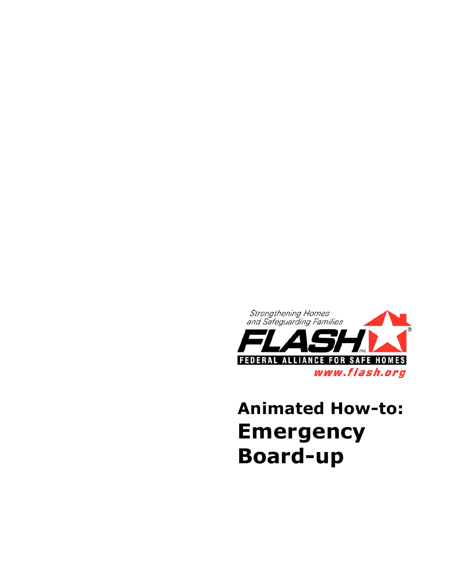

## **Animated How-to: Emergency Board-up**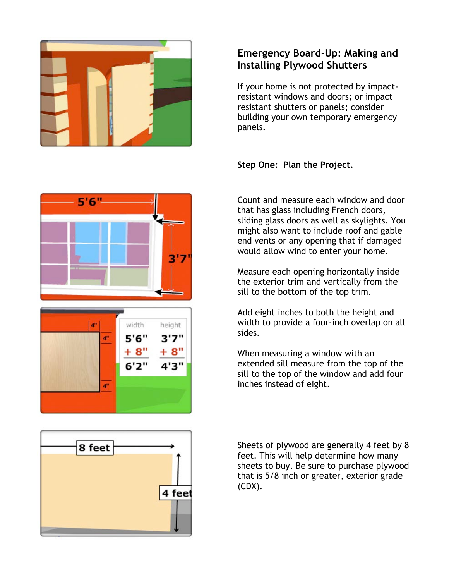

## **Emergency Board-Up: Making and Installing Plywood Shutters**

If your home is not protected by impactresistant windows and doors; or impact resistant shutters or panels; consider building your own temporary emergency panels.

**Step One: Plan the Project.**

Count and measure each window and door that has glass including French doors, sliding glass doors as well as skylights. You might also want to include roof and gable end vents or any opening that if damaged would allow wind to enter your home.

Measure each opening horizontally inside the exterior trim and vertically from the sill to the bottom of the top trim.

Add eight inches to both the height and width to provide a four-inch overlap on all sides.

When measuring a window with an extended sill measure from the top of the sill to the top of the window and add four inches instead of eight.



Sheets of plywood are generally 4 feet by 8 feet. This will help determine how many sheets to buy. Be sure to purchase plywood that is 5/8 inch or greater, exterior grade (CDX).



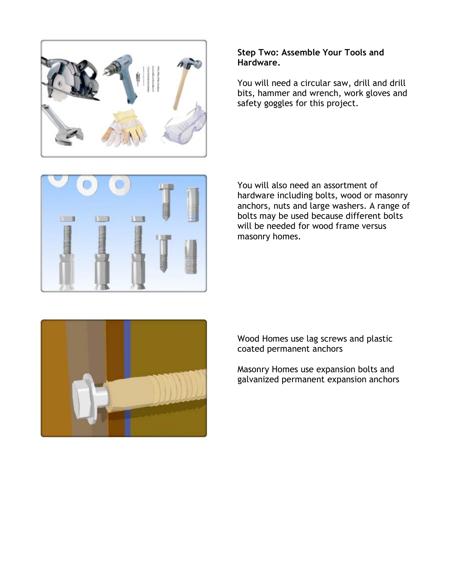

## **Step Two: Assemble Your Tools and Hardware.**

You will need a circular saw, drill and drill bits, hammer and wrench, work gloves and safety goggles for this project.



You will also need an assortment of hardware including bolts, wood or masonry anchors, nuts and large washers. A range of bolts may be used because different bolts will be needed for wood frame versus masonry homes.



Wood Homes use lag screws and plastic coated permanent anchors

Masonry Homes use expansion bolts and galvanized permanent expansion anchors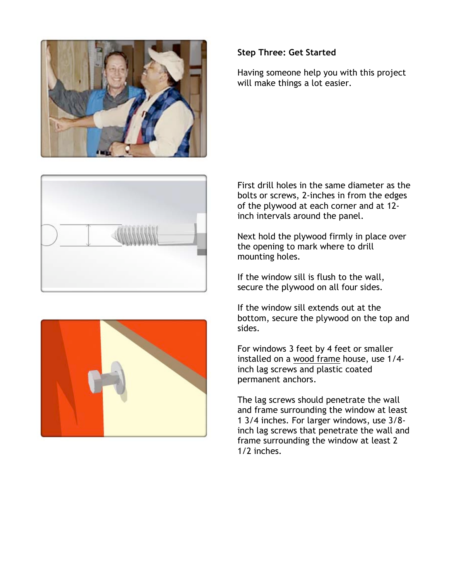





## **Step Three: Get Started**

Having someone help you with this project will make things a lot easier.

First drill holes in the same diameter as the bolts or screws, 2-inches in from the edges of the plywood at each corner and at 12 inch intervals around the panel.

Next hold the plywood firmly in place over the opening to mark where to drill mounting holes.

If the window sill is flush to the wall, secure the plywood on all four sides.

If the window sill extends out at the bottom, secure the plywood on the top and sides.

For windows 3 feet by 4 feet or smaller installed on a wood frame house, use 1/4 inch lag screws and plastic coated permanent anchors.

The lag screws should penetrate the wall and frame surrounding the window at least 1 3/4 inches. For larger windows, use 3/8 inch lag screws that penetrate the wall and frame surrounding the window at least 2 1/2 inches.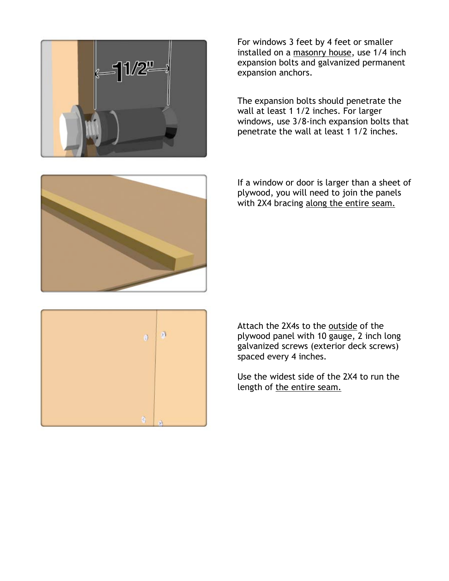

For windows 3 feet by 4 feet or smaller installed on a masonry house, use 1/4 inch expansion bolts and galvanized permanent expansion anchors.

The expansion bolts should penetrate the wall at least 1 1/2 inches. For larger windows, use 3/8-inch expansion bolts that penetrate the wall at least 1 1/2 inches.



If a window or door is larger than a sheet of plywood, you will need to join the panels with 2X4 bracing along the entire seam.



Attach the 2X4s to the outside of the plywood panel with 10 gauge, 2 inch long galvanized screws (exterior deck screws) spaced every 4 inches.

Use the widest side of the 2X4 to run the length of the entire seam.